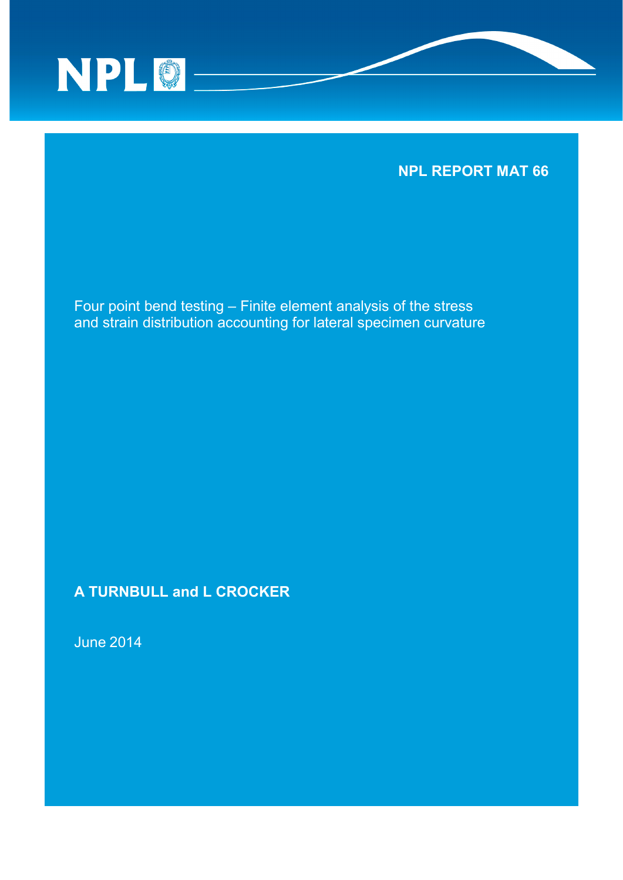

# **NPL REPORT MAT 66**

Four point bend testing – Finite element analysis of the stress and strain distribution accounting for lateral specimen curvature

**A TURNBULL and L CROCKER**

June 2014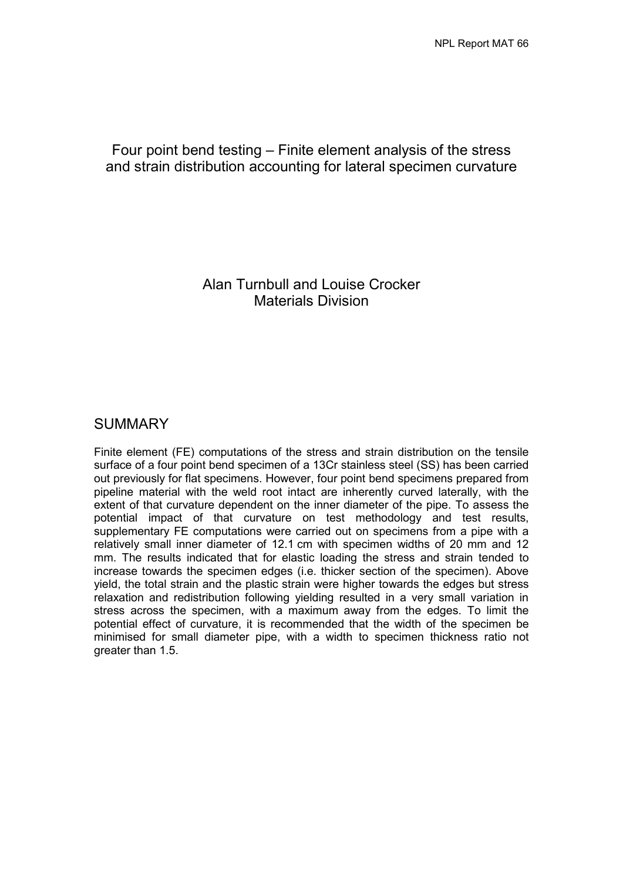## Four point bend testing – Finite element analysis of the stress and strain distribution accounting for lateral specimen curvature

Alan Turnbull and Louise Crocker Materials Division

## SUMMARY

Finite element (FE) computations of the stress and strain distribution on the tensile surface of a four point bend specimen of a 13Cr stainless steel (SS) has been carried out previously for flat specimens. However, four point bend specimens prepared from pipeline material with the weld root intact are inherently curved laterally, with the extent of that curvature dependent on the inner diameter of the pipe. To assess the potential impact of that curvature on test methodology and test results, supplementary FE computations were carried out on specimens from a pipe with a relatively small inner diameter of 12.1 cm with specimen widths of 20 mm and 12 mm. The results indicated that for elastic loading the stress and strain tended to increase towards the specimen edges (i.e. thicker section of the specimen). Above yield, the total strain and the plastic strain were higher towards the edges but stress relaxation and redistribution following yielding resulted in a very small variation in stress across the specimen, with a maximum away from the edges. To limit the potential effect of curvature, it is recommended that the width of the specimen be minimised for small diameter pipe, with a width to specimen thickness ratio not greater than 1.5.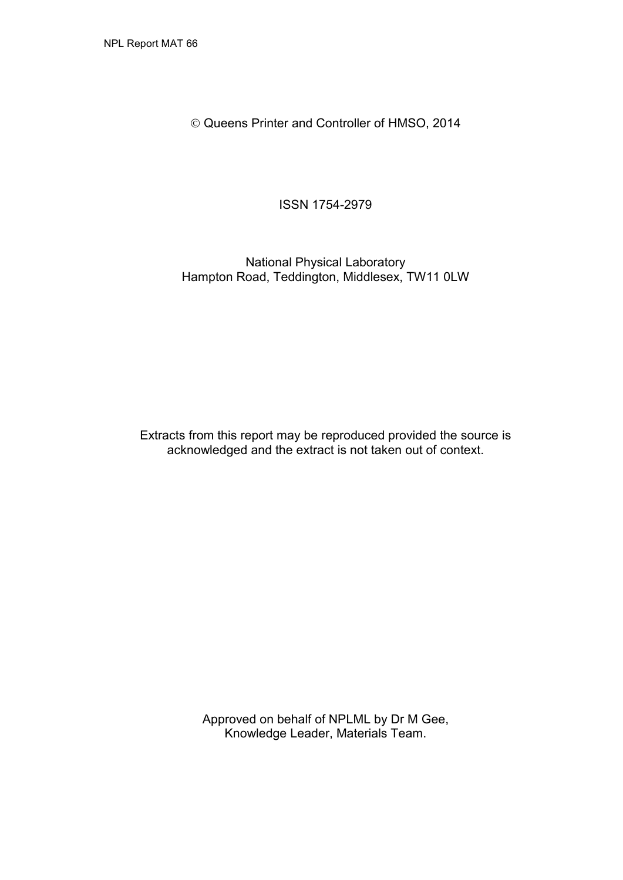Queens Printer and Controller of HMSO, 2014

ISSN 1754-2979

National Physical Laboratory Hampton Road, Teddington, Middlesex, TW11 0LW

Extracts from this report may be reproduced provided the source is acknowledged and the extract is not taken out of context.

> Approved on behalf of NPLML by Dr M Gee, Knowledge Leader, Materials Team.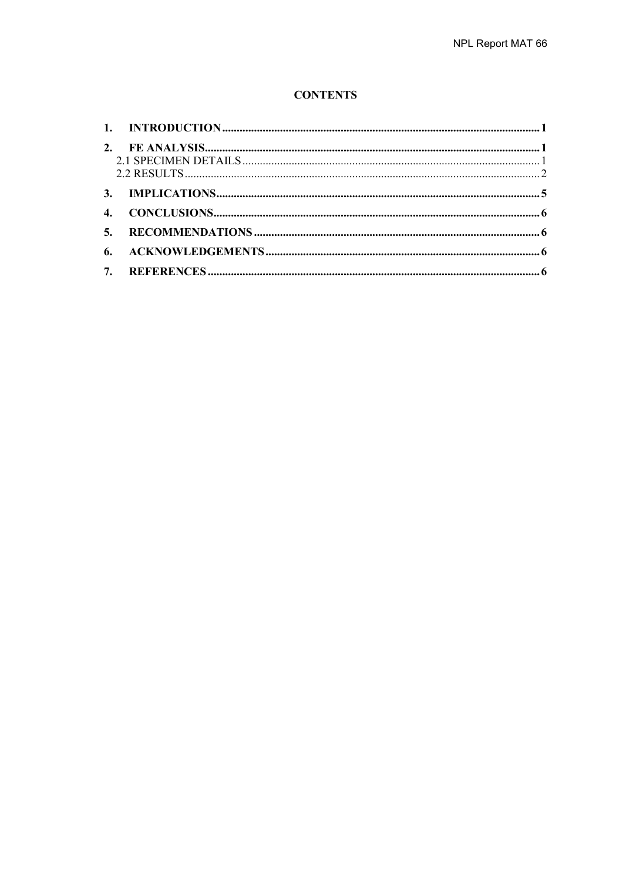#### **CONTENTS**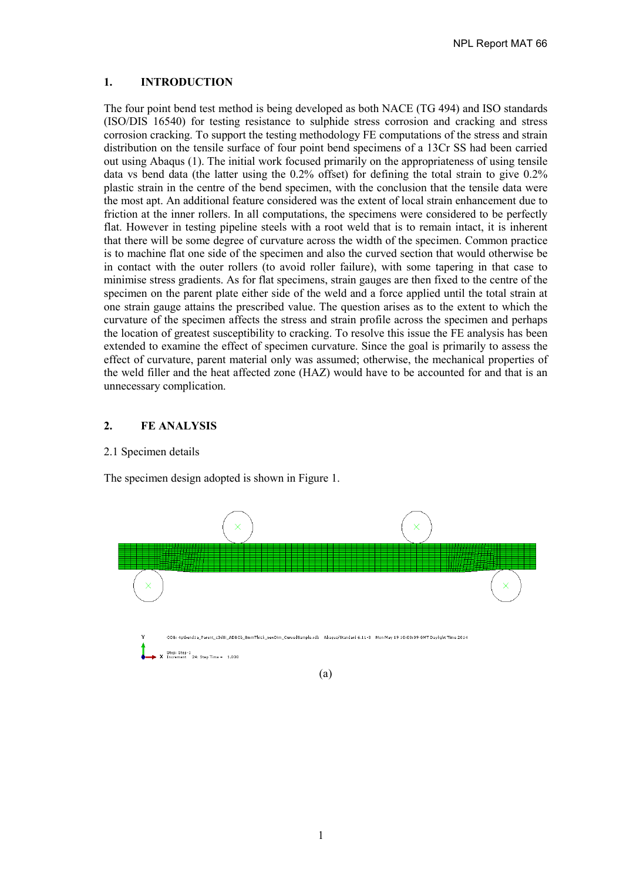#### <span id="page-6-0"></span>**1. INTRODUCTION**

The four point bend test method is being developed as both NACE (TG 494) and ISO standards (ISO/DIS 16540) for testing resistance to sulphide stress corrosion and cracking and stress corrosion cracking. To support the testing methodology FE computations of the stress and strain distribution on the tensile surface of four point bend specimens of a 13Cr SS had been carried out using Abaqus (1). The initial work focused primarily on the appropriateness of using tensile data vs bend data (the latter using the 0.2% offset) for defining the total strain to give 0.2% plastic strain in the centre of the bend specimen, with the conclusion that the tensile data were the most apt. An additional feature considered was the extent of local strain enhancement due to friction at the inner rollers. In all computations, the specimens were considered to be perfectly flat. However in testing pipeline steels with a root weld that is to remain intact, it is inherent that there will be some degree of curvature across the width of the specimen. Common practice is to machine flat one side of the specimen and also the curved section that would otherwise be in contact with the outer rollers (to avoid roller failure), with some tapering in that case to minimise stress gradients. As for flat specimens, strain gauges are then fixed to the centre of the specimen on the parent plate either side of the weld and a force applied until the total strain at one strain gauge attains the prescribed value. The question arises as to the extent to which the curvature of the specimen affects the stress and strain profile across the specimen and perhaps the location of greatest susceptibility to cracking. To resolve this issue the FE analysis has been extended to examine the effect of specimen curvature. Since the goal is primarily to assess the effect of curvature, parent material only was assumed; otherwise, the mechanical properties of the weld filler and the heat affected zone (HAZ) would have to be accounted for and that is an unnecessary complication.

#### <span id="page-6-1"></span>**2. FE ANALYSIS**

#### <span id="page-6-2"></span>2.1 Specimen details

The specimen design adopted is shown in Figure 1.

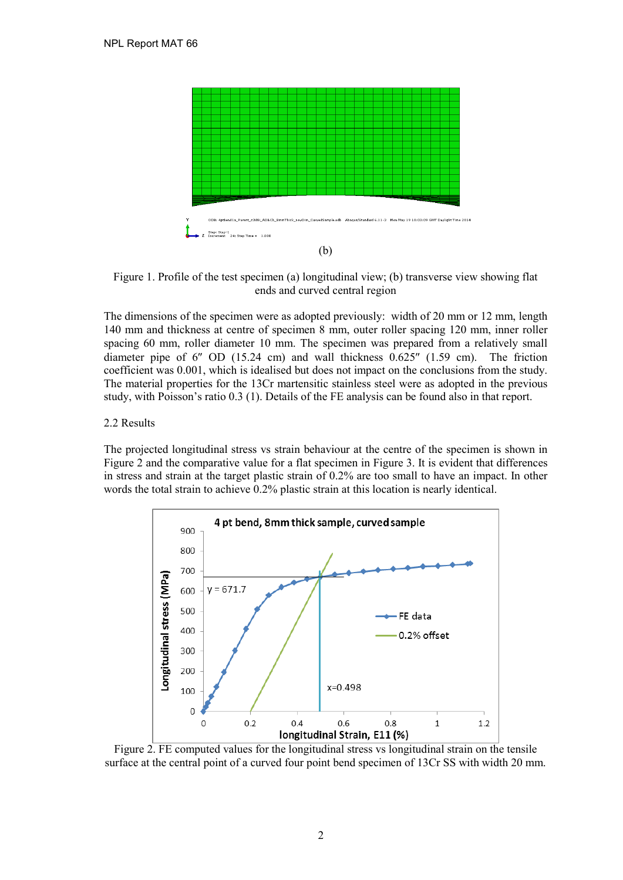

Figure 1. Profile of the test specimen (a) longitudinal view; (b) transverse view showing flat ends and curved central region

The dimensions of the specimen were as adopted previously: width of 20 mm or 12 mm, length 140 mm and thickness at centre of specimen 8 mm, outer roller spacing 120 mm, inner roller spacing 60 mm, roller diameter 10 mm. The specimen was prepared from a relatively small diameter pipe of 6″ OD (15.24 cm) and wall thickness 0.625″ (1.59 cm). The friction coefficient was 0.001, which is idealised but does not impact on the conclusions from the study. The material properties for the 13Cr martensitic stainless steel were as adopted in the previous study, with Poisson's ratio 0.3 (1). Details of the FE analysis can be found also in that report.

#### <span id="page-7-0"></span>2.2 Results

The projected longitudinal stress vs strain behaviour at the centre of the specimen is shown in Figure 2 and the comparative value for a flat specimen in Figure 3. It is evident that differences in stress and strain at the target plastic strain of 0.2% are too small to have an impact. In other words the total strain to achieve 0.2% plastic strain at this location is nearly identical.



Figure 2. FE computed values for the longitudinal stress vs longitudinal strain on the tensile surface at the central point of a curved four point bend specimen of 13Cr SS with width 20 mm.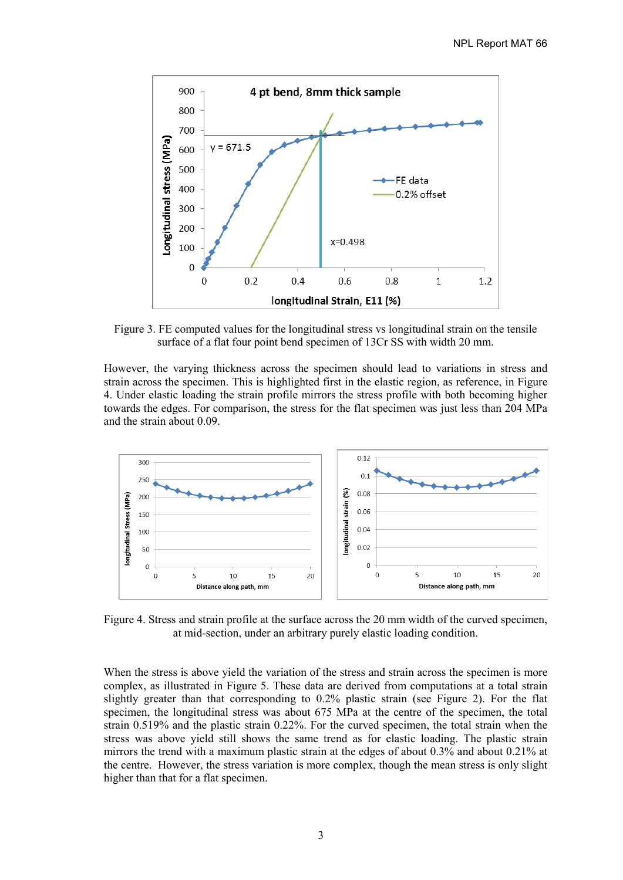

Figure 3. FE computed values for the longitudinal stress vs longitudinal strain on the tensile surface of a flat four point bend specimen of 13Cr SS with width 20 mm.

However, the varying thickness across the specimen should lead to variations in stress and strain across the specimen. This is highlighted first in the elastic region, as reference, in Figure 4. Under elastic loading the strain profile mirrors the stress profile with both becoming higher towards the edges. For comparison, the stress for the flat specimen was just less than 204 MPa and the strain about 0.09.



Figure 4. Stress and strain profile at the surface across the 20 mm width of the curved specimen, at mid-section, under an arbitrary purely elastic loading condition.

When the stress is above yield the variation of the stress and strain across the specimen is more complex, as illustrated in Figure 5. These data are derived from computations at a total strain slightly greater than that corresponding to 0.2% plastic strain (see Figure 2). For the flat specimen, the longitudinal stress was about 675 MPa at the centre of the specimen, the total strain 0.519% and the plastic strain 0.22%. For the curved specimen, the total strain when the stress was above yield still shows the same trend as for elastic loading. The plastic strain mirrors the trend with a maximum plastic strain at the edges of about 0.3% and about 0.21% at the centre. However, the stress variation is more complex, though the mean stress is only slight higher than that for a flat specimen.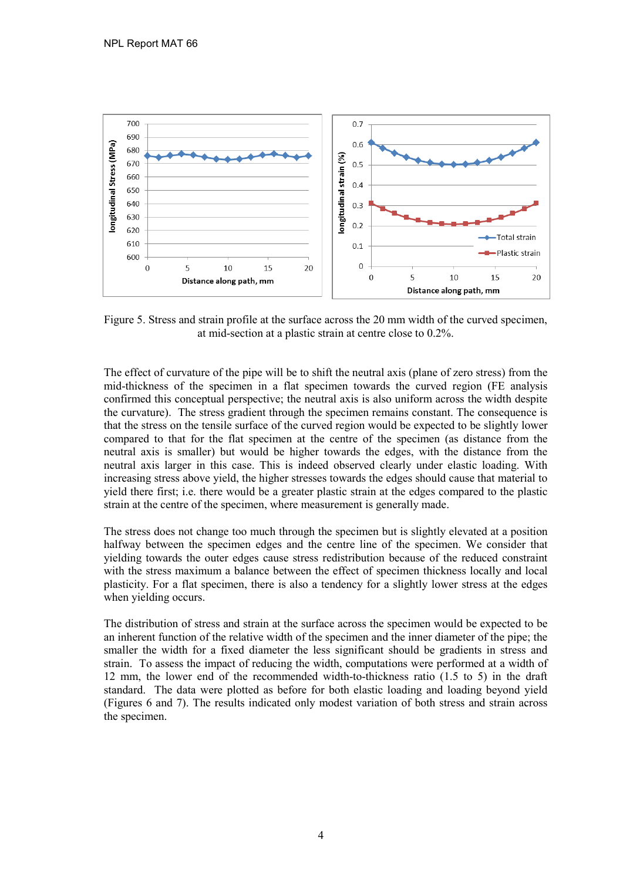

Figure 5. Stress and strain profile at the surface across the 20 mm width of the curved specimen, at mid-section at a plastic strain at centre close to 0.2%.

The effect of curvature of the pipe will be to shift the neutral axis (plane of zero stress) from the mid-thickness of the specimen in a flat specimen towards the curved region (FE analysis confirmed this conceptual perspective; the neutral axis is also uniform across the width despite the curvature). The stress gradient through the specimen remains constant. The consequence is that the stress on the tensile surface of the curved region would be expected to be slightly lower compared to that for the flat specimen at the centre of the specimen (as distance from the neutral axis is smaller) but would be higher towards the edges, with the distance from the neutral axis larger in this case. This is indeed observed clearly under elastic loading. With increasing stress above yield, the higher stresses towards the edges should cause that material to yield there first; i.e. there would be a greater plastic strain at the edges compared to the plastic strain at the centre of the specimen, where measurement is generally made.

The stress does not change too much through the specimen but is slightly elevated at a position halfway between the specimen edges and the centre line of the specimen. We consider that yielding towards the outer edges cause stress redistribution because of the reduced constraint with the stress maximum a balance between the effect of specimen thickness locally and local plasticity. For a flat specimen, there is also a tendency for a slightly lower stress at the edges when yielding occurs.

The distribution of stress and strain at the surface across the specimen would be expected to be an inherent function of the relative width of the specimen and the inner diameter of the pipe; the smaller the width for a fixed diameter the less significant should be gradients in stress and strain. To assess the impact of reducing the width, computations were performed at a width of 12 mm, the lower end of the recommended width-to-thickness ratio (1.5 to 5) in the draft standard. The data were plotted as before for both elastic loading and loading beyond yield (Figures 6 and 7). The results indicated only modest variation of both stress and strain across the specimen.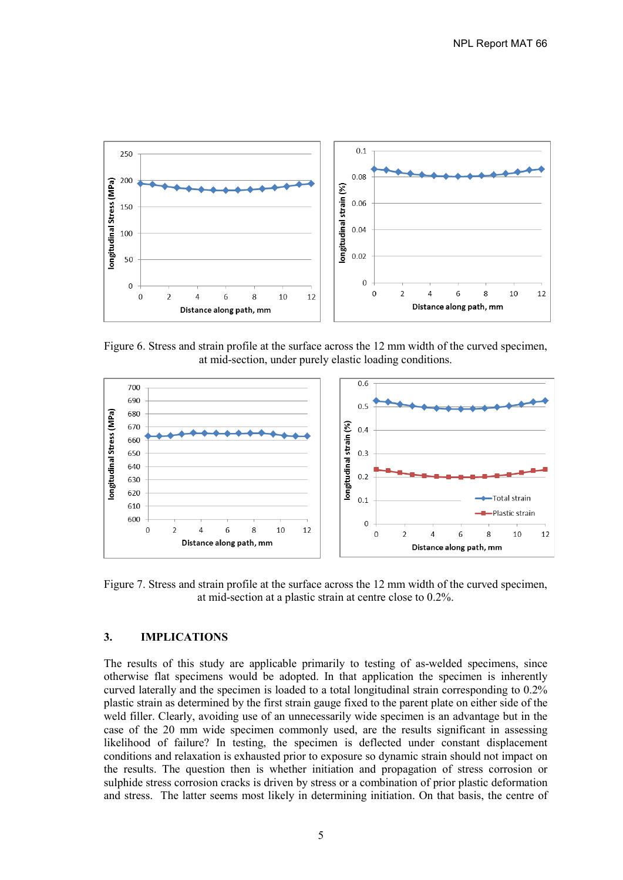

Figure 6. Stress and strain profile at the surface across the 12 mm width of the curved specimen, at mid-section, under purely elastic loading conditions.



Figure 7. Stress and strain profile at the surface across the 12 mm width of the curved specimen, at mid-section at a plastic strain at centre close to 0.2%.

#### <span id="page-10-0"></span>**3. IMPLICATIONS**

The results of this study are applicable primarily to testing of as-welded specimens, since otherwise flat specimens would be adopted. In that application the specimen is inherently curved laterally and the specimen is loaded to a total longitudinal strain corresponding to 0.2% plastic strain as determined by the first strain gauge fixed to the parent plate on either side of the weld filler. Clearly, avoiding use of an unnecessarily wide specimen is an advantage but in the case of the 20 mm wide specimen commonly used, are the results significant in assessing likelihood of failure? In testing, the specimen is deflected under constant displacement conditions and relaxation is exhausted prior to exposure so dynamic strain should not impact on the results. The question then is whether initiation and propagation of stress corrosion or sulphide stress corrosion cracks is driven by stress or a combination of prior plastic deformation and stress. The latter seems most likely in determining initiation. On that basis, the centre of